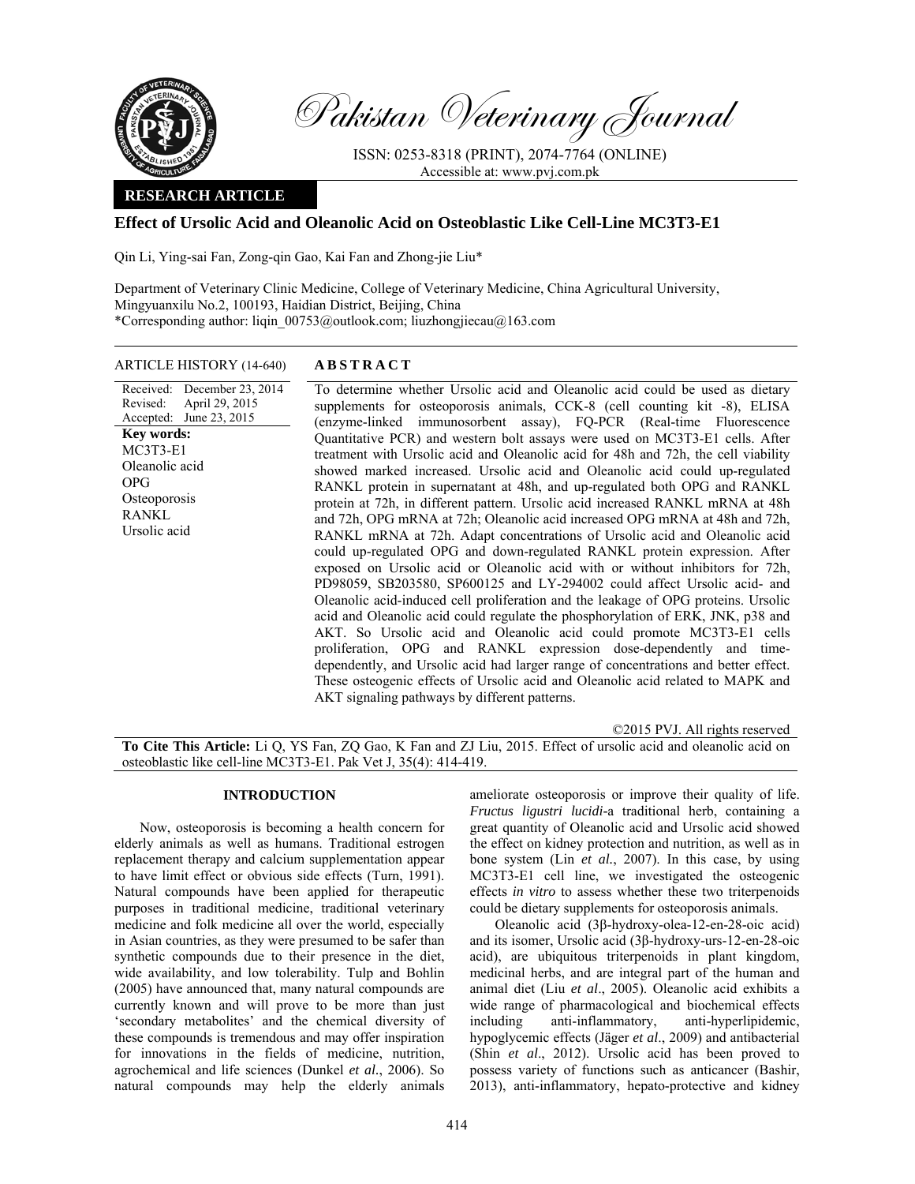

Pakistan Veterinary Journal

ISSN: 0253-8318 (PRINT), 2074-7764 (ONLINE) Accessible at: www.pvj.com.pk

## **RESEARCH ARTICLE**

# **Effect of Ursolic Acid and Oleanolic Acid on Osteoblastic Like Cell-Line MC3T3-E1**

Qin Li, Ying-sai Fan, Zong-qin Gao, Kai Fan and Zhong-jie Liu\*

Department of Veterinary Clinic Medicine, College of Veterinary Medicine, China Agricultural University, Mingyuanxilu No.2, 100193, Haidian District, Beijing, China \*Corresponding author: liqin\_00753@outlook.com; liuzhongjiecau@163.com

# ARTICLE HISTORY (14-640) **ABSTRACT**

Received: December 23, 2014 Revised: Accepted: June 23, 2015 April 29, 2015 To determine whether Ursolic acid and Oleanolic acid could be used as dietary supplements for osteoporosis animals, CCK-8 (cell counting kit -8), ELISA (enzyme-linked immunosorbent assay), FQ-PCR (Real-time Fluorescence Quantitative PCR) and western bolt assays were used on MC3T3-E1 cells. After treatment with Ursolic acid and Oleanolic acid for 48h and 72h, the cell viability showed marked increased. Ursolic acid and Oleanolic acid could up-regulated RANKL protein in supernatant at 48h, and up-regulated both OPG and RANKL protein at 72h, in different pattern. Ursolic acid increased RANKL mRNA at 48h and 72h, OPG mRNA at 72h; Oleanolic acid increased OPG mRNA at 48h and 72h, RANKL mRNA at 72h. Adapt concentrations of Ursolic acid and Oleanolic acid could up-regulated OPG and down-regulated RANKL protein expression. After exposed on Ursolic acid or Oleanolic acid with or without inhibitors for 72h, PD98059, SB203580, SP600125 and LY-294002 could affect Ursolic acid- and Oleanolic acid-induced cell proliferation and the leakage of OPG proteins. Ursolic acid and Oleanolic acid could regulate the phosphorylation of ERK, JNK, p38 and AKT. So Ursolic acid and Oleanolic acid could promote MC3T3-E1 cells proliferation, OPG and RANKL expression dose-dependently and timedependently, and Ursolic acid had larger range of concentrations and better effect. These osteogenic effects of Ursolic acid and Oleanolic acid related to MAPK and AKT signaling pathways by different patterns. **Key words:**  MC3T3-E1 Oleanolic acid OPG **Osteoporosis** RANKL Ursolic acid

©2015 PVJ. All rights reserved

**To Cite This Article:** Li Q, YS Fan, ZQ Gao, K Fan and ZJ Liu, 2015. Effect of ursolic acid and oleanolic acid on osteoblastic like cell-line MC3T3-E1. Pak Vet J, 35(4): 414-419.

### **INTRODUCTION**

Now, osteoporosis is becoming a health concern for elderly animals as well as humans. Traditional estrogen replacement therapy and calcium supplementation appear to have limit effect or obvious side effects (Turn, 1991). Natural compounds have been applied for therapeutic purposes in traditional medicine, traditional veterinary medicine and folk medicine all over the world, especially in Asian countries, as they were presumed to be safer than synthetic compounds due to their presence in the diet, wide availability, and low tolerability. Tulp and Bohlin (2005) have announced that, many natural compounds are currently known and will prove to be more than just 'secondary metabolites' and the chemical diversity of these compounds is tremendous and may offer inspiration for innovations in the fields of medicine, nutrition, agrochemical and life sciences (Dunkel *et al.*, 2006). So natural compounds may help the elderly animals

ameliorate osteoporosis or improve their quality of life. *Fructus ligustri lucidi-*a traditional herb, containing a great quantity of Oleanolic acid and Ursolic acid showed the effect on kidney protection and nutrition, as well as in bone system (Lin *et al.*, 2007). In this case, by using MC3T3-E1 cell line, we investigated the osteogenic effects *in vitro* to assess whether these two triterpenoids could be dietary supplements for osteoporosis animals.

Oleanolic acid (3β-hydroxy-olea-12-en-28-oic acid) and its isomer, Ursolic acid (3β-hydroxy-urs-12-en-28-oic acid), are ubiquitous triterpenoids in plant kingdom, medicinal herbs, and are integral part of the human and animal diet (Liu *et al*., 2005). Oleanolic acid exhibits a wide range of pharmacological and biochemical effects including anti-inflammatory, anti-hyperlipidemic, hypoglycemic effects (Jäger *et al*., 2009) and antibacterial (Shin *et al*., 2012). Ursolic acid has been proved to possess variety of functions such as anticancer (Bashir, 2013), anti-inflammatory, hepato-protective and kidney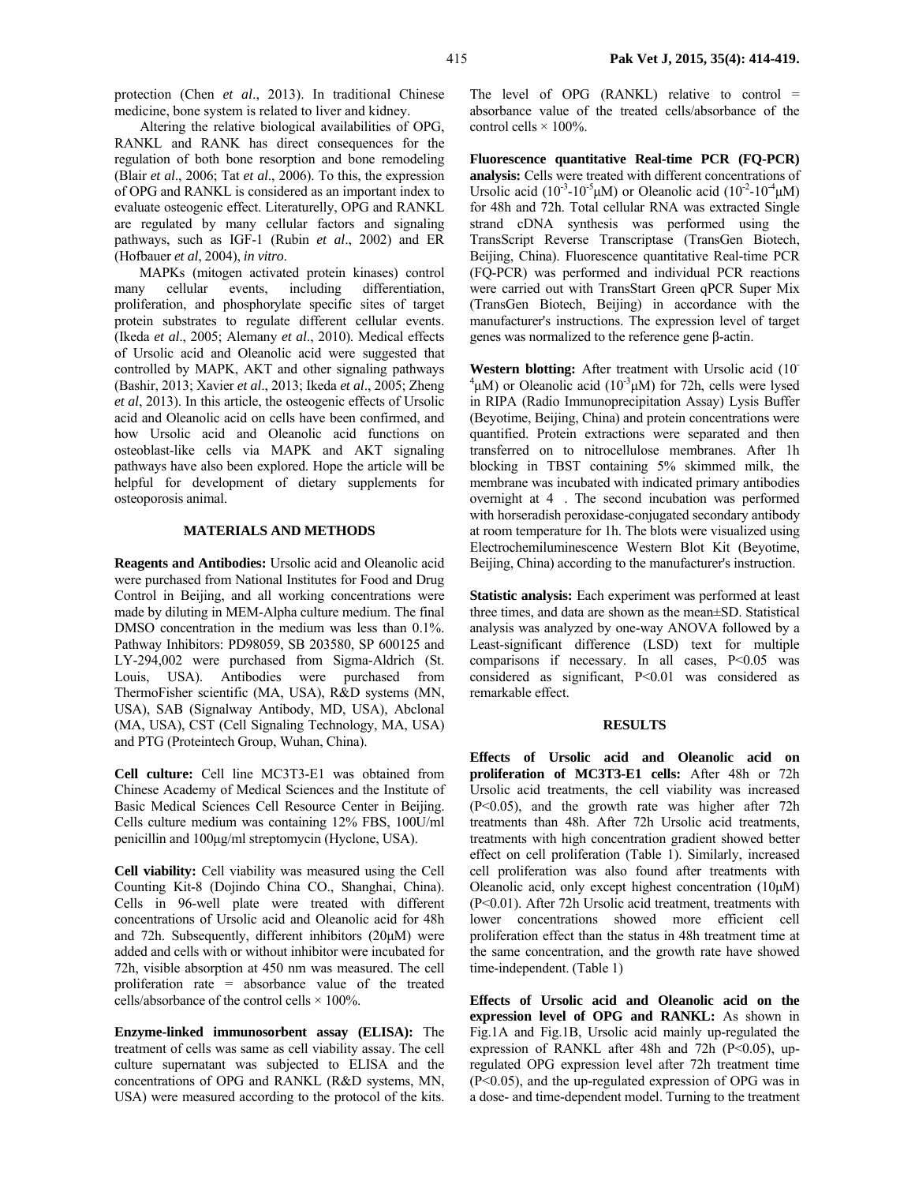protection (Chen *et al*., 2013). In traditional Chinese medicine, bone system is related to liver and kidney.

Altering the relative biological availabilities of OPG, RANKL and RANK has direct consequences for the regulation of both bone resorption and bone remodeling (Blair *et al*., 2006; Tat *et al*., 2006). To this, the expression of OPG and RANKL is considered as an important index to evaluate osteogenic effect. Literaturelly, OPG and RANKL are regulated by many cellular factors and signaling pathways, such as IGF-1 (Rubin *et al*., 2002) and ER (Hofbauer *et al*, 2004), *in vitro*.

MAPKs (mitogen activated protein kinases) control many cellular events, including differentiation, proliferation, and phosphorylate specific sites of target protein substrates to regulate different cellular events. (Ikeda *et al*., 2005; Alemany *et al*., 2010). Medical effects of Ursolic acid and Oleanolic acid were suggested that controlled by MAPK, AKT and other signaling pathways (Bashir, 2013; Xavier *et al*., 2013; Ikeda *et al*., 2005; Zheng *et al*, 2013). In this article, the osteogenic effects of Ursolic acid and Oleanolic acid on cells have been confirmed, and how Ursolic acid and Oleanolic acid functions on osteoblast-like cells via MAPK and AKT signaling pathways have also been explored. Hope the article will be helpful for development of dietary supplements for osteoporosis animal.

### **MATERIALS AND METHODS**

**Reagents and Antibodies:** Ursolic acid and Oleanolic acid were purchased from National Institutes for Food and Drug Control in Beijing, and all working concentrations were made by diluting in MEM-Alpha culture medium. The final DMSO concentration in the medium was less than 0.1%. Pathway Inhibitors: PD98059, SB 203580, SP 600125 and LY-294,002 were purchased from Sigma-Aldrich (St. Louis, USA). Antibodies were purchased from ThermoFisher scientific (MA, USA), R&D systems (MN, USA), SAB (Signalway Antibody, MD, USA), Abclonal (MA, USA), CST (Cell Signaling Technology, MA, USA) and PTG (Proteintech Group, Wuhan, China).

**Cell culture:** Cell line MC3T3-E1 was obtained from Chinese Academy of Medical Sciences and the Institute of Basic Medical Sciences Cell Resource Center in Beijing. Cells culture medium was containing 12% FBS, 100U/ml penicillin and 100µg/ml streptomycin (Hyclone, USA).

**Cell viability:** Cell viability was measured using the Cell Counting Kit-8 (Dojindo China CO., Shanghai, China). Cells in 96-well plate were treated with different concentrations of Ursolic acid and Oleanolic acid for 48h and 72h. Subsequently, different inhibitors (20µM) were added and cells with or without inhibitor were incubated for 72h, visible absorption at 450 nm was measured. The cell proliferation rate = absorbance value of the treated cells/absorbance of the control cells  $\times$  100%.

**Enzyme-linked immunosorbent assay (ELISA):** The treatment of cells was same as cell viability assay. The cell culture supernatant was subjected to ELISA and the concentrations of OPG and RANKL (R&D systems, MN, USA) were measured according to the protocol of the kits.

The level of OPG  $(RANKL)$  relative to control = absorbance value of the treated cells/absorbance of the control cells  $\times$  100%.

**Fluorescence quantitative Real-time PCR (FQ-PCR) analysis:** Cells were treated with different concentrations of Ursolic acid (10<sup>-3</sup>-10<sup>-5</sup>µM) or Oleanolic acid (10<sup>-2</sup>-10<sup>-4</sup>µM) for 48h and 72h. Total cellular RNA was extracted Single strand cDNA synthesis was performed using the TransScript Reverse Transcriptase (TransGen Biotech, Beijing, China). Fluorescence quantitative Real-time PCR (FQ-PCR) was performed and individual PCR reactions were carried out with TransStart Green qPCR Super Mix (TransGen Biotech, Beijing) in accordance with the manufacturer's instructions. The expression level of target genes was normalized to the reference gene β-actin.

**Western blotting:** After treatment with Ursolic acid (10- <sup>4</sup>µM) or Oleanolic acid (10<sup>-3</sup>µM) for 72h, cells were lysed in RIPA (Radio Immunoprecipitation Assay) Lysis Buffer (Beyotime, Beijing, China) and protein concentrations were quantified. Protein extractions were separated and then transferred on to nitrocellulose membranes. After 1h blocking in TBST containing 5% skimmed milk, the membrane was incubated with indicated primary antibodies overnight at 4. The second incubation was performed with horseradish peroxidase-conjugated secondary antibody at room temperature for 1h. The blots were visualized using Electrochemiluminescence Western Blot Kit (Beyotime, Beijing, China) according to the manufacturer's instruction.

**Statistic analysis:** Each experiment was performed at least three times, and data are shown as the mean±SD. Statistical analysis was analyzed by one-way ANOVA followed by a Least-significant difference (LSD) text for multiple comparisons if necessary. In all cases, P<0.05 was considered as significant, P<0.01 was considered as remarkable effect.

#### **RESULTS**

**Effects of Ursolic acid and Oleanolic acid on proliferation of MC3T3-E1 cells:** After 48h or 72h Ursolic acid treatments, the cell viability was increased (P<0.05), and the growth rate was higher after 72h treatments than 48h. After 72h Ursolic acid treatments, treatments with high concentration gradient showed better effect on cell proliferation (Table 1). Similarly, increased cell proliferation was also found after treatments with Oleanolic acid, only except highest concentration (10µM) (P<0.01). After 72h Ursolic acid treatment, treatments with lower concentrations showed more efficient cell proliferation effect than the status in 48h treatment time at the same concentration, and the growth rate have showed time-independent. (Table 1)

**Effects of Ursolic acid and Oleanolic acid on the expression level of OPG and RANKL:** As shown in Fig.1A and Fig.1B, Ursolic acid mainly up-regulated the expression of RANKL after 48h and 72h ( $P<0.05$ ), upregulated OPG expression level after 72h treatment time (P<0.05), and the up-regulated expression of OPG was in a dose- and time-dependent model. Turning to the treatment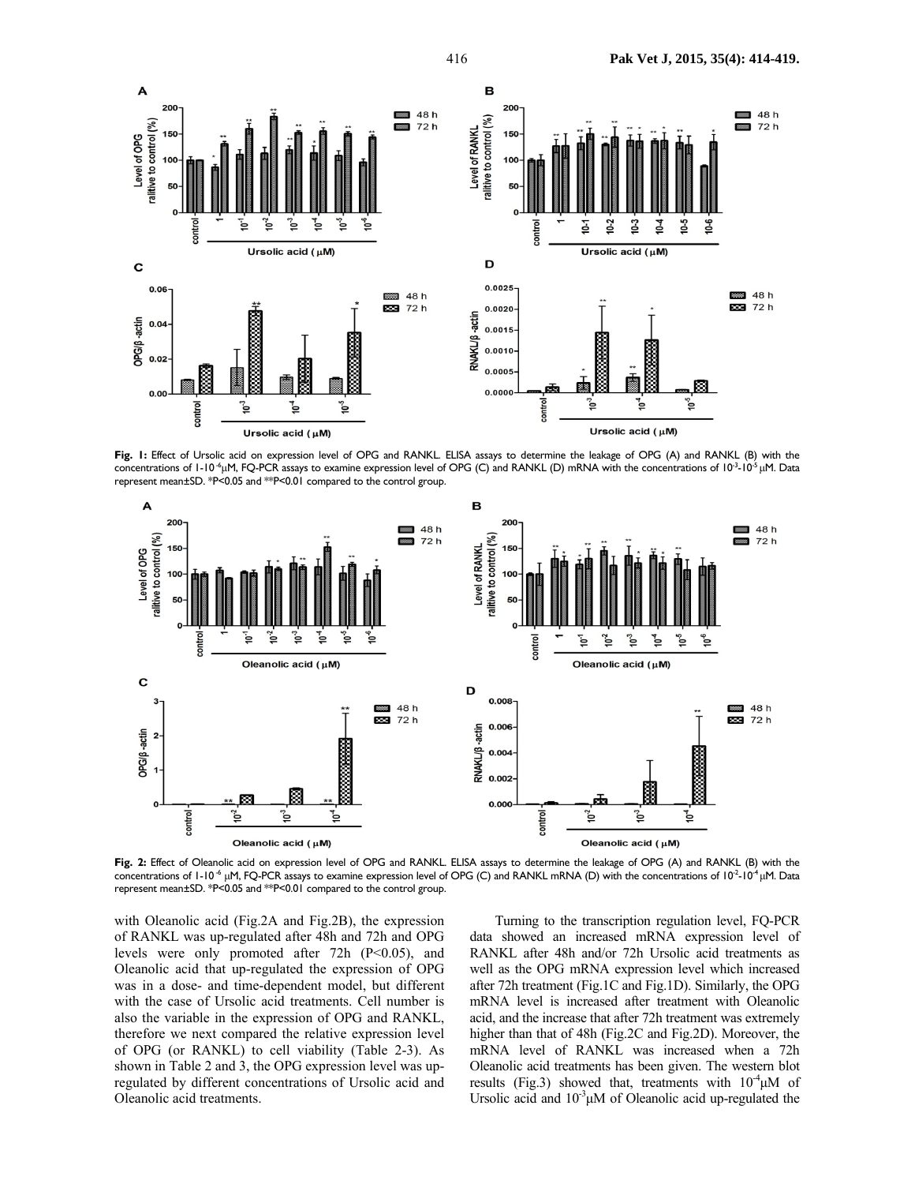

**Fig. 1:** Effect of Ursolic acid on expression level of OPG and RANKL. ELISA assays to determine the leakage of OPG (A) and RANKL (B) with the concentrations of  $1-10^{-6}$ µM, FQ-PCR assays to examine expression level of OPG (C) and RANKL (D) mRNA with the concentrations of  $10^{-3}-10^{-5}$  µM. Data represent mean±SD. \*P<0.05 and \*\*P<0.01 compared to the control group.



**Fig. 2:** Effect of Oleanolic acid on expression level of OPG and RANKL. ELISA assays to determine the leakage of OPG (A) and RANKL (B) with the concentrations of  $1-10^{-6}$  µM, FQ-PCR assays to examine expression level of OPG (C) and RANKL mRNA (D) with the concentrations of  $10^{-2}-10^{-4}$  µM. Data represent mean±SD. \*P<0.05 and \*\*P<0.01 compared to the control group.

with Oleanolic acid (Fig.2A and Fig.2B), the expression of RANKL was up-regulated after 48h and 72h and OPG levels were only promoted after 72h (P<0.05), and Oleanolic acid that up-regulated the expression of OPG was in a dose- and time-dependent model, but different with the case of Ursolic acid treatments. Cell number is also the variable in the expression of OPG and RANKL, therefore we next compared the relative expression level of OPG (or RANKL) to cell viability (Table 2-3). As shown in Table 2 and 3, the OPG expression level was upregulated by different concentrations of Ursolic acid and Oleanolic acid treatments.

Turning to the transcription regulation level, FQ-PCR data showed an increased mRNA expression level of RANKL after 48h and/or 72h Ursolic acid treatments as well as the OPG mRNA expression level which increased after 72h treatment (Fig.1C and Fig.1D). Similarly, the OPG mRNA level is increased after treatment with Oleanolic acid, and the increase that after 72h treatment was extremely higher than that of 48h (Fig.2C and Fig.2D). Moreover, the mRNA level of RANKL was increased when a 72h Oleanolic acid treatments has been given. The western blot results (Fig.3) showed that, treatments with  $10^{-4} \mu M$  of Ursolic acid and  $10^{-3} \mu M$  of Oleanolic acid up-regulated the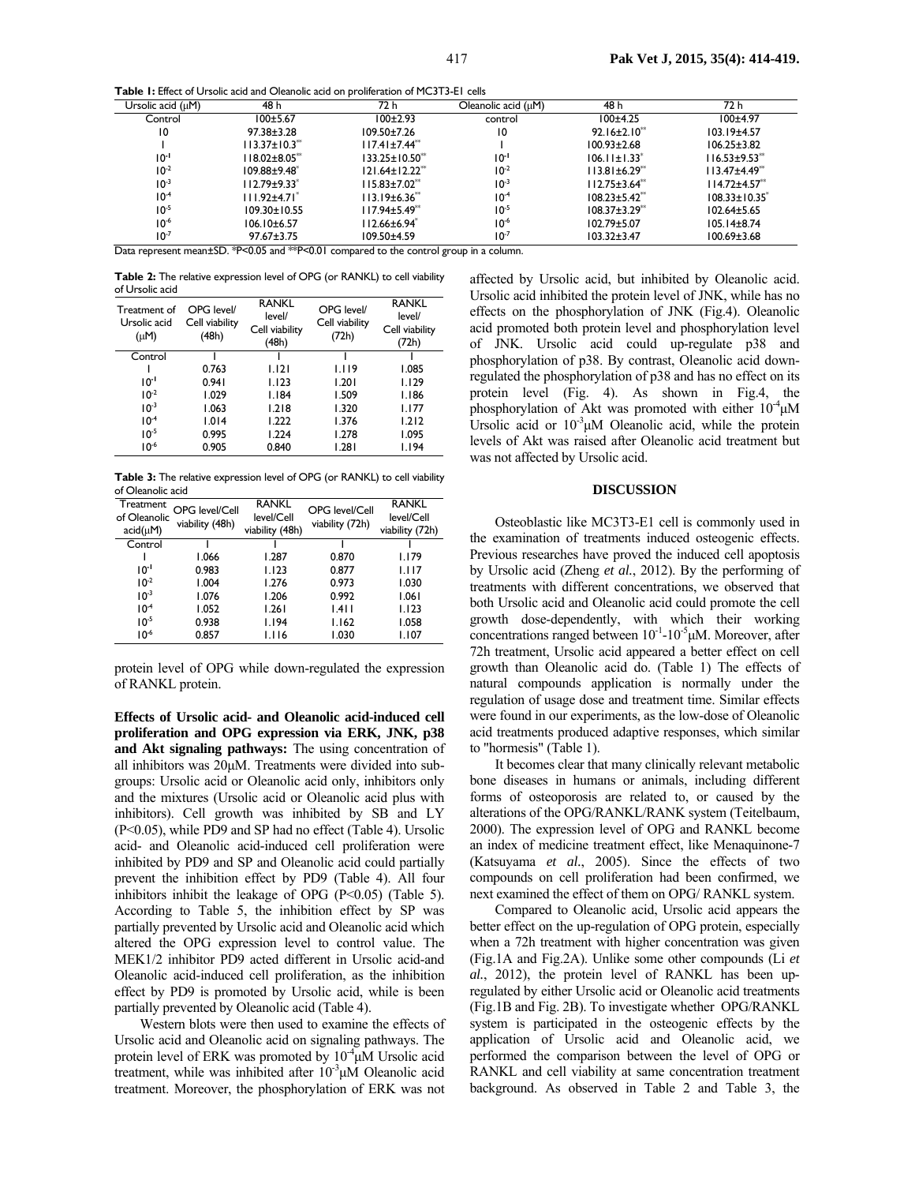**Table 1:** Effect of Ursolic acid and Oleanolic acid on proliferation of MC3T3-E1 cells

| Ursolic acid (uM) | 48 h                            | 72 h                             | Oleanolic acid $(\mu M)$ | 48 h                            | 72 h                            |
|-------------------|---------------------------------|----------------------------------|--------------------------|---------------------------------|---------------------------------|
| Control           | 100±5.67                        | $100+2.93$                       | control                  | $100+4.25$                      | $100 + 4.97$                    |
| 10                | $97.38 \pm 3.28$                | $109.50 \pm 7.26$                | 10                       | $92.16 \pm 2.10^{44}$           | $103.19 + 4.57$                 |
|                   | $113.37 \pm 10.3$ <sup>**</sup> | $117.41 \pm 7.44$ <sup>**</sup>  |                          | $100.93 \pm 2.68$               | $106.25 \pm 3.82$               |
| $10^{-1}$         | 118.02±8.05**                   | $133.25 \pm 10.50^{**}$          | $10^{-1}$                | $106.11 \pm 1.33$ <sup>*</sup>  | $116.53 \pm 9.53$ <sup>**</sup> |
| $10^{-2}$         | $109.88 + 9.48$                 | $121.64 \pm 12.22$ <sup>**</sup> | $10^{-2}$                | $113.81 \pm 6.29$ <sup>**</sup> | $113.47{\pm}4.49^{**}$          |
| $10^{-3}$         | $112.79 \pm 9.33$ <sup>*</sup>  | $115.83 \pm 7.02$ <sup>**</sup>  | $10^{-3}$                | $112.75 \pm 3.64$ <sup>**</sup> | $114.72 + 4.57$                 |
| $10^{-4}$         | $111.92 \pm 4.71$ *             | $113.19\pm 6.36**$               | $10^{-4}$                | $108.23 \pm 5.42$ <sup>**</sup> | $108.33 \pm 10.35^*$            |
| $10^{-5}$         | $109.30 \pm 10.55$              | $117.94 \pm 5.49^*$              | $10^{-5}$                | $108.37 \pm 3.29$ <sup>**</sup> | $102.64 + 5.65$                 |
| $10^{-6}$         | $106.10\pm 6.57$                | $112.66 \pm 6.94$ <sup>*</sup>   | $10^{-6}$                | $102.79 \pm 5.07$               | $105.14 \pm 8.74$               |
| $10^{-7}$         | $97.67 \pm 3.75$                | 109.50±4.59                      | $10^{-7}$                | $103.32 \pm 3.47$               | $100.69 \pm 3.68$               |

Data represent mean±SD. \*P<0.05 and \*\*P<0.01 compared to the control group in a column.

**Table 2:** The relative expression level of OPG (or RANKL) to cell viability of Ursolic acid

| Treatment of<br>Ursolic acid<br>$(\mu M)$ | OPG level/<br>Cell viability<br>(48h) | <b>RANKL</b><br>level/<br>Cell viability<br>(48h) | OPG level/<br>Cell viability<br>(72h) | <b>RANKL</b><br>level/<br>Cell viability<br>(72h) |
|-------------------------------------------|---------------------------------------|---------------------------------------------------|---------------------------------------|---------------------------------------------------|
| Control                                   |                                       |                                                   |                                       |                                                   |
|                                           | 0.763                                 | 1.121                                             | 1.119                                 | 1.085                                             |
| $10^{-1}$                                 | 0.941                                 | 1.123                                             | 1.201                                 | 1.129                                             |
| $10^{-2}$                                 | 1.029                                 | 1.184                                             | 1.509                                 | 1.186                                             |
| $10^{-3}$                                 | 1.063                                 | 1.218                                             | 1.320                                 | 1.177                                             |
| $10^{-4}$                                 | 1.014                                 | 1.222                                             | 1.376                                 | 1.212                                             |
| $10^{-5}$                                 | 0.995                                 | 1.224                                             | 1.278                                 | 1.095                                             |
| $10^{-6}$                                 | 0.905                                 | 0.840                                             | 1.281                                 | I.I94                                             |

**Table 3:** The relative expression level of OPG (or RANKL) to cell viability of Oleanolic acid

| Treatment<br>of Oleanolic<br>$acid(\mu M)$ | OPG level/Cell<br>viability (48h) | <b>RANKL</b><br>level/Cell<br>viability (48h) | OPG level/Cell<br>viability (72h) | <b>RANKL</b><br>level/Cell<br>viability (72h) |
|--------------------------------------------|-----------------------------------|-----------------------------------------------|-----------------------------------|-----------------------------------------------|
| Control                                    |                                   |                                               |                                   |                                               |
|                                            | 1.066                             | 1.287                                         | 0.870                             | 1.179                                         |
| $10^{-1}$                                  | 0.983                             | 1.123                                         | 0.877                             | 1.117                                         |
| $10^{-2}$                                  | 1.004                             | 1.276                                         | 0.973                             | 1.030                                         |
| $10^{-3}$                                  | 1.076                             | 1.206                                         | 0.992                             | 1.061                                         |
| $10^{-4}$                                  | 1.052                             | 1.261                                         | 1.411                             | 1.123                                         |
| $10^{-5}$                                  | 0.938                             | 1.194                                         | 1.162                             | 1.058                                         |
| $10^{-6}$                                  | 0.857                             | 1.116                                         | 1.030                             | 1.107                                         |

protein level of OPG while down-regulated the expression of RANKL protein.

**Effects of Ursolic acid- and Oleanolic acid-induced cell proliferation and OPG expression via ERK, JNK, p38 and Akt signaling pathways:** The using concentration of all inhibitors was 20µM. Treatments were divided into subgroups: Ursolic acid or Oleanolic acid only, inhibitors only and the mixtures (Ursolic acid or Oleanolic acid plus with inhibitors). Cell growth was inhibited by SB and LY (P<0.05), while PD9 and SP had no effect (Table 4). Ursolic acid- and Oleanolic acid-induced cell proliferation were inhibited by PD9 and SP and Oleanolic acid could partially prevent the inhibition effect by PD9 (Table 4). All four inhibitors inhibit the leakage of OPG (P<0.05) (Table 5). According to Table 5, the inhibition effect by SP was partially prevented by Ursolic acid and Oleanolic acid which altered the OPG expression level to control value. The MEK1/2 inhibitor PD9 acted different in Ursolic acid-and Oleanolic acid-induced cell proliferation, as the inhibition effect by PD9 is promoted by Ursolic acid, while is been partially prevented by Oleanolic acid (Table 4).

Western blots were then used to examine the effects of Ursolic acid and Oleanolic acid on signaling pathways. The protein level of ERK was promoted by  $10^{-4} \mu$ M Ursolic acid treatment, while was inhibited after  $10^{-3}$  $\mu$ M Oleanolic acid treatment. Moreover, the phosphorylation of ERK was not

affected by Ursolic acid, but inhibited by Oleanolic acid. Ursolic acid inhibited the protein level of JNK, while has no effects on the phosphorylation of JNK (Fig.4). Oleanolic acid promoted both protein level and phosphorylation level of JNK. Ursolic acid could up-regulate p38 and phosphorylation of p38. By contrast, Oleanolic acid downregulated the phosphorylation of p38 and has no effect on its protein level (Fig. 4). As shown in Fig.4, the phosphorylation of Akt was promoted with either  $10^{-4} \mu M$ Ursolic acid or  $10^{-3} \mu M$  Oleanolic acid, while the protein levels of Akt was raised after Oleanolic acid treatment but was not affected by Ursolic acid.

#### **DISCUSSION**

Osteoblastic like MC3T3-E1 cell is commonly used in the examination of treatments induced osteogenic effects. Previous researches have proved the induced cell apoptosis by Ursolic acid (Zheng *et al.*, 2012). By the performing of treatments with different concentrations, we observed that both Ursolic acid and Oleanolic acid could promote the cell growth dose-dependently, with which their working concentrations ranged between  $10^{-1}$ - $10^{-5}$  $\mu$ M. Moreover, after 72h treatment, Ursolic acid appeared a better effect on cell growth than Oleanolic acid do. (Table 1) The effects of natural compounds application is normally under the regulation of usage dose and treatment time. Similar effects were found in our experiments, as the low-dose of Oleanolic acid treatments produced adaptive responses, which similar to "hormesis" (Table 1).

It becomes clear that many clinically relevant metabolic bone diseases in humans or animals, including different forms of osteoporosis are related to, or caused by the alterations of the OPG/RANKL/RANK system (Teitelbaum, 2000). The expression level of OPG and RANKL become an index of medicine treatment effect, like Menaquinone-7 (Katsuyama *et al.*, 2005). Since the effects of two compounds on cell proliferation had been confirmed, we next examined the effect of them on OPG/ RANKL system.

Compared to Oleanolic acid, Ursolic acid appears the better effect on the up-regulation of OPG protein, especially when a 72h treatment with higher concentration was given (Fig.1A and Fig.2A). Unlike some other compounds (Li *et al.*, 2012), the protein level of RANKL has been upregulated by either Ursolic acid or Oleanolic acid treatments (Fig.1B and Fig. 2B). To investigate whether OPG/RANKL system is participated in the osteogenic effects by the application of Ursolic acid and Oleanolic acid, we performed the comparison between the level of OPG or RANKL and cell viability at same concentration treatment background. As observed in Table 2 and Table 3, the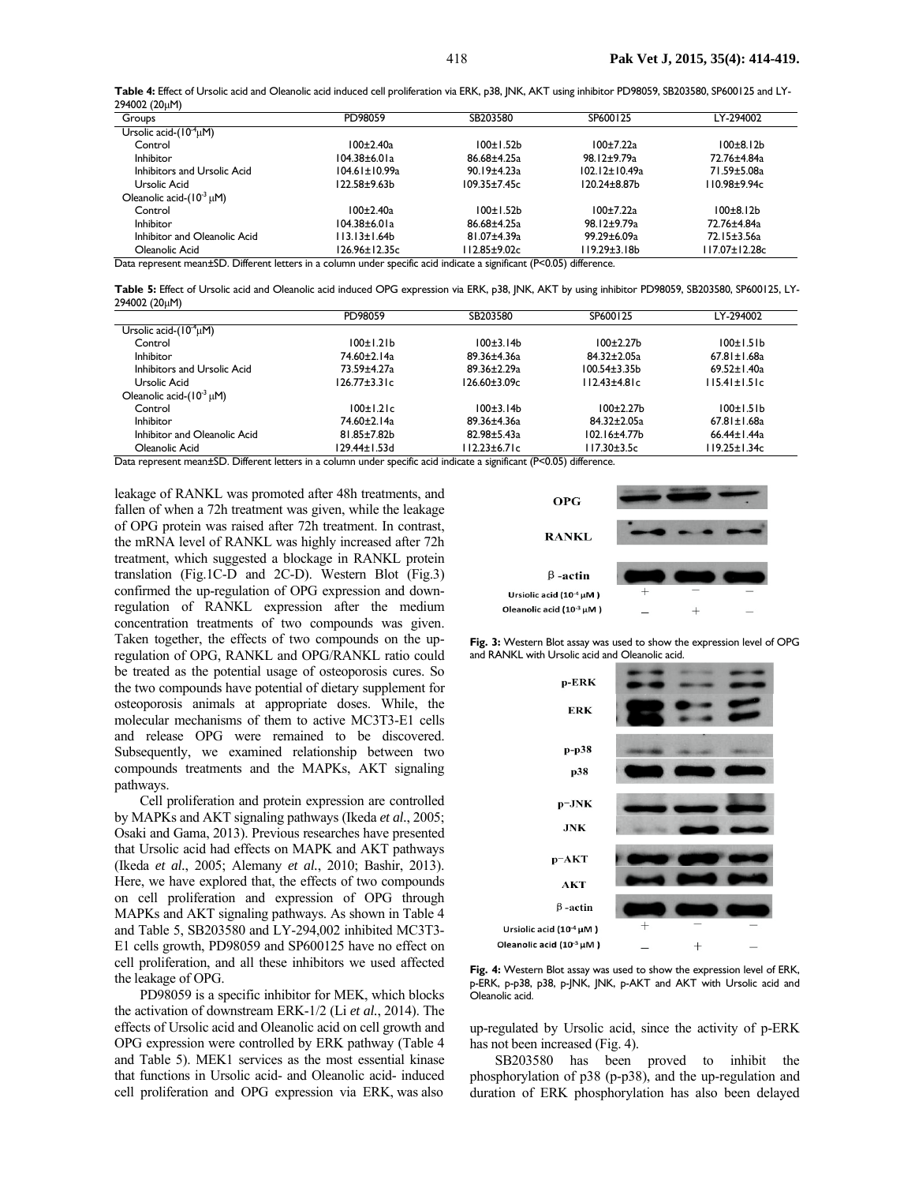**Table 4:** Effect of Ursolic acid and Oleanolic acid induced cell proliferation via ERK, p38, JNK, AKT using inhibitor PD98059, SB203580, SP600125 and LY-294002 (20µM)

| Groups                            | PD98059              | SB203580           | SP600125             | LY-294002             |
|-----------------------------------|----------------------|--------------------|----------------------|-----------------------|
| Ursolic acid- $(10^{-4} \mu M)$   |                      |                    |                      |                       |
| Control                           | $100 \pm 2.40$ a     | 100±1.52b          | 100±7.22a            | 100±8.12b             |
| <b>Inhibitor</b>                  | 104.38±6.01a         | 86.68±4.25a        | 98.12±9.79a          | 72.76±4.84a           |
| Inhibitors and Ursolic Acid       | $104.61 \pm 10.99$ a | $90.19 \pm 4.23$ a | $102.12 \pm 10.49$ a | 71.59±5.08a           |
| Ursolic Acid                      | 122.58±9.63b         | $109.35 \pm 7.45c$ | $120.24 \pm 8.87$ b  | 110.98±9.94c          |
| Oleanolic acid- $(10^{-3} \mu M)$ |                      |                    |                      |                       |
| Control                           | $100 \pm 2.40$ a     | 100±1.52b          | 100±7.22a            | 100±8.12 <sub>b</sub> |
| <b>Inhibitor</b>                  | 104.38±6.01a         | 86.68±4.25a        | $98.12 \pm 9.79$ a   | 72.76±4.84a           |
| Inhibitor and Oleanolic Acid      | II3.13±1.64b         | 81.07±4.39a        | 99.29±6.09a          | 72.15±3.56a           |
| Oleanolic Acid                    | 126.96±12.35c        | 112.85±9.02c       | l 19.29±3.18b        | 117.07±12.28c         |

**Table 5:** Effect of Ursolic acid and Oleanolic acid induced OPG expression via ERK, p38, JNK, AKT by using inhibitor PD98059, SB203580, SP600125, LY-294002 (20µM)

|                                   | PD98059           | SB203580      | SP600125          | LY-294002          |
|-----------------------------------|-------------------|---------------|-------------------|--------------------|
| Ursolic acid- $(10^{-4} \mu M)$   |                   |               |                   |                    |
| Control                           | 100±1.21b         | 100±3.14b     | $100+2.27b$       | 100±1.51b          |
| Inhibitor                         | 74.60±2.14a       | 89.36±4.36a   | $84.32 \pm 2.05a$ | $67.81 \pm 1.68$ a |
| Inhibitors and Ursolic Acid       | 73.59±4.27a       | 89.36±2.29a   | $100.54 \pm 3.35$ | $69.52 \pm 1.40$ a |
| Ursolic Acid                      | 126.77±3.31c      | 126.60±3.09c  | $112.43 + 4.81c$  | $115.41 \pm 1.51c$ |
| Oleanolic acid- $(10^{-3} \mu M)$ |                   |               |                   |                    |
| Control                           | $100 \pm 1.2$ Ic  | 100±3.14b     | $100+2.27b$       | 100±1.51b          |
| Inhibitor                         | 74.60±2.14a       | 89.36±4.36a   | 84.32±2.05a       | $67.81 \pm 1.68$ a |
| Inhibitor and Oleanolic Acid      | $81.85 \pm 7.82b$ | 82.98±5.43a   | $102.16 + 4.77$ b | $66.44 \pm 1.44$ a |
| Oleanolic Acid                    | 129.44±1.53d      | l 12.23±6.71c | 117.30±3.5c       | 119.25±1.34c       |

Data represent mean±SD. Different letters in a column under specific acid indicate a significant (P<0.05) difference.

leakage of RANKL was promoted after 48h treatments, and fallen of when a 72h treatment was given, while the leakage of OPG protein was raised after 72h treatment. In contrast, the mRNA level of RANKL was highly increased after 72h treatment, which suggested a blockage in RANKL protein translation (Fig.1C-D and 2C-D). Western Blot (Fig.3) confirmed the up-regulation of OPG expression and downregulation of RANKL expression after the medium concentration treatments of two compounds was given. Taken together, the effects of two compounds on the upregulation of OPG, RANKL and OPG/RANKL ratio could be treated as the potential usage of osteoporosis cures. So the two compounds have potential of dietary supplement for osteoporosis animals at appropriate doses. While, the molecular mechanisms of them to active MC3T3-E1 cells and release OPG were remained to be discovered. Subsequently, we examined relationship between two compounds treatments and the MAPKs, AKT signaling pathways.

Cell proliferation and protein expression are controlled by MAPKs and AKT signaling pathways (Ikeda *et al.*, 2005; Osaki and Gama, 2013). Previous researches have presented that Ursolic acid had effects on MAPK and AKT pathways (Ikeda *et al.*, 2005; Alemany *et al.*, 2010; Bashir, 2013). Here, we have explored that, the effects of two compounds on cell proliferation and expression of OPG through MAPKs and AKT signaling pathways. As shown in Table 4 and Table 5, SB203580 and LY-294,002 inhibited MC3T3- E1 cells growth, PD98059 and SP600125 have no effect on cell proliferation, and all these inhibitors we used affected the leakage of OPG.

PD98059 is a specific inhibitor for MEK, which blocks the activation of downstream ERK-1/2 (Li *et al.*, 2014). The effects of Ursolic acid and Oleanolic acid on cell growth and OPG expression were controlled by ERK pathway (Table 4 and Table 5). MEK1 services as the most essential kinase that functions in Ursolic acid- and Oleanolic acid- induced cell proliferation and OPG expression via ERK, was also



**Fig. 3:** Western Blot assay was used to show the expression level of OPG and RANKL with Ursolic acid and Oleanolic acid.



**Fig. 4:** Western Blot assay was used to show the expression level of ERK, p-ERK, p-p38, p38, p-JNK, JNK, p-AKT and AKT with Ursolic acid and Oleanolic acid.

up-regulated by Ursolic acid, since the activity of p-ERK has not been increased (Fig. 4).

SB203580 has been proved to inhibit the phosphorylation of p38 (p-p38), and the up-regulation and duration of ERK phosphorylation has also been delayed